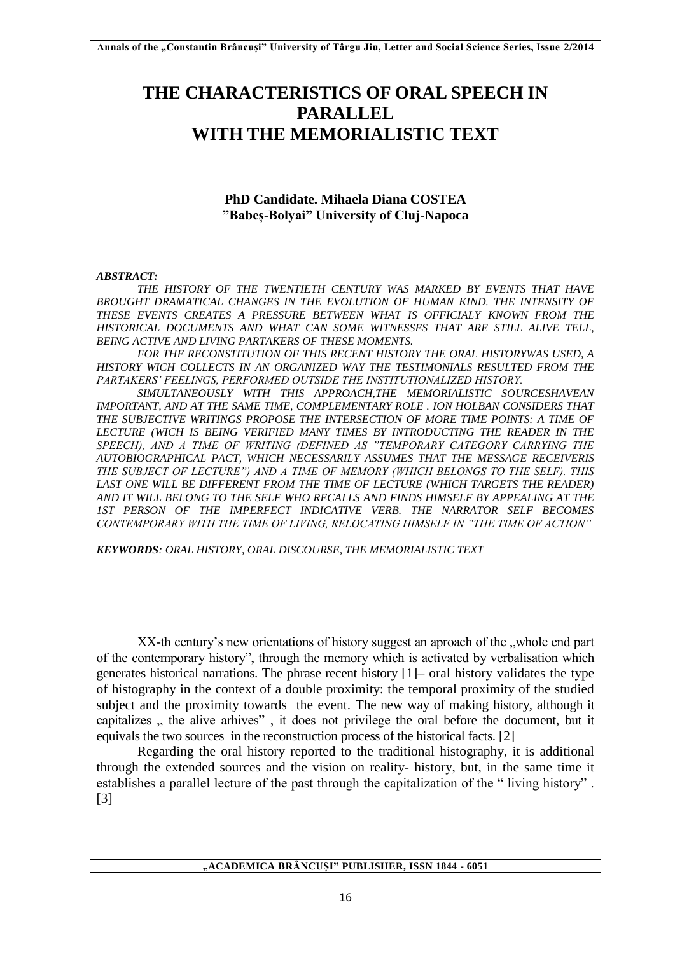# **THE CHARACTERISTICS OF ORAL SPEECH IN PARALLEL WITH THE MEMORIALISTIC TEXT**

## **PhD Candidate. Mihaela Diana COSTEA "Babeș-Bolyai" University of Cluj-Napoca**

#### *ABSTRACT:*

*THE HISTORY OF THE TWENTIETH CENTURY WAS MARKED BY EVENTS THAT HAVE BROUGHT DRAMATICAL CHANGES IN THE EVOLUTION OF HUMAN KIND. THE INTENSITY OF THESE EVENTS CREATES A PRESSURE BETWEEN WHAT IS OFFICIALY KNOWN FROM THE HISTORICAL DOCUMENTS AND WHAT CAN SOME WITNESSES THAT ARE STILL ALIVE TELL, BEING ACTIVE AND LIVING PARTAKERS OF THESE MOMENTS.*

*FOR THE RECONSTITUTION OF THIS RECENT HISTORY THE ORAL HISTORYWAS USED, A HISTORY WICH COLLECTS IN AN ORGANIZED WAY THE TESTIMONIALS RESULTED FROM THE PARTAKERS' FEELINGS, PERFORMED OUTSIDE THE INSTITUTIONALIZED HISTORY.*

*SIMULTANEOUSLY WITH THIS APPROACH,THE MEMORIALISTIC SOURCESHAVEAN IMPORTANT, AND AT THE SAME TIME, COMPLEMENTARY ROLE . ION HOLBAN CONSIDERS THAT*  THE SUBJECTIVE WRITINGS PROPOSE THE INTERSECTION OF MORE TIME POINTS: A TIME OF *LECTURE (WICH IS BEING VERIFIED MANY TIMES BY INTRODUCTING THE READER IN THE SPEECH), AND A TIME OF WRITING (DEFINED AS "TEMPORARY CATEGORY CARRYING THE AUTOBIOGRAPHICAL PACT, WHICH NECESSARILY ASSUMES THAT THE MESSAGE RECEIVERIS THE SUBJECT OF LECTURE") AND A TIME OF MEMORY (WHICH BELONGS TO THE SELF). THIS*  LAST ONE WILL BE DIFFERENT FROM THE TIME OF LECTURE (WHICH TARGETS THE READER) *AND IT WILL BELONG TO THE SELF WHO RECALLS AND FINDS HIMSELF BY APPEALING AT THE 1ST PERSON OF THE IMPERFECT INDICATIVE VERB. THE NARRATOR SELF BECOMES CONTEMPORARY WITH THE TIME OF LIVING, RELOCATING HIMSELF IN "THE TIME OF ACTION"*

*KEYWORDS: ORAL HISTORY, ORAL DISCOURSE, THE MEMORIALISTIC TEXT*

XX-th century's new orientations of history suggest an aproach of the ... whole end part of the contemporary history", through the memory which is activated by verbalisation which generates historical narrations. The phrase recent history [1]– oral history validates the type of histography in the context of a double proximity: the temporal proximity of the studied subject and the proximity towards the event. The new way of making history, although it capitalizes ,, the alive arhives", it does not privilege the oral before the document, but it equivals the two sources in the reconstruction process of the historical facts. [2]

Regarding the oral history reported to the traditional histography, it is additional through the extended sources and the vision on reality- history, but, in the same time it establishes a parallel lecture of the past through the capitalization of the " living history" . [3]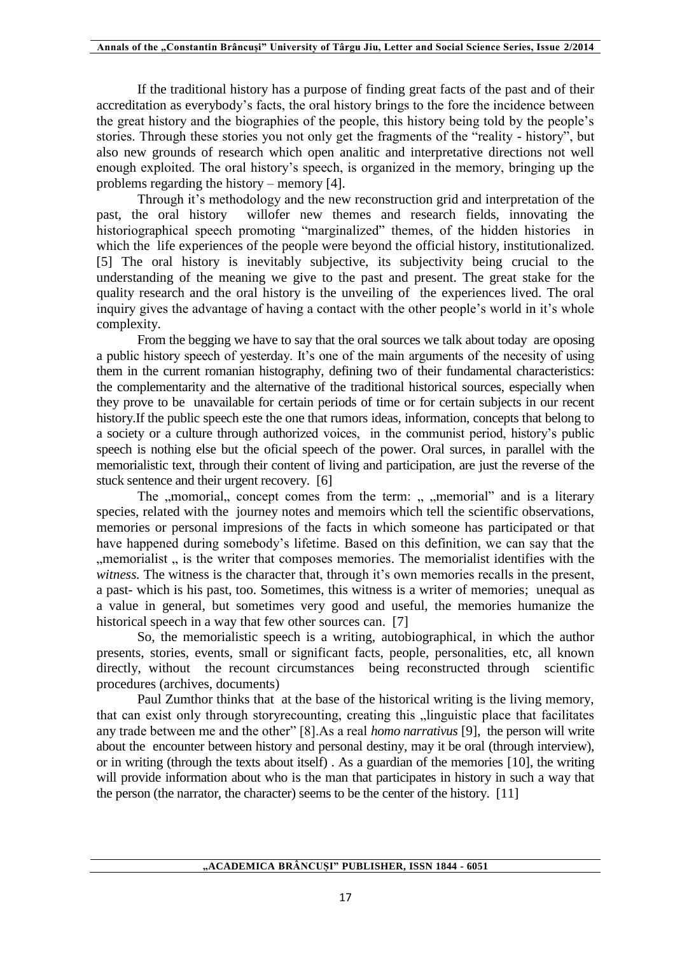If the traditional history has a purpose of finding great facts of the past and of their accreditation as everybody's facts, the oral history brings to the fore the incidence between the great history and the biographies of the people, this history being told by the people's stories. Through these stories you not only get the fragments of the "reality - history", but also new grounds of research which open analitic and interpretative directions not well enough exploited. The oral history's speech, is organized in the memory, bringing up the problems regarding the history – memory [4].

Through it's methodology and the new reconstruction grid and interpretation of the past, the oral history willofer new themes and research fields, innovating the historiographical speech promoting "marginalized" themes, of the hidden histories in which the life experiences of the people were beyond the official history, institutionalized. [5] The oral history is inevitably subjective, its subjectivity being crucial to the understanding of the meaning we give to the past and present. The great stake for the quality research and the oral history is the unveiling of the experiences lived. The oral inquiry gives the advantage of having a contact with the other people's world in it's whole complexity.

From the begging we have to say that the oral sources we talk about today are oposing a public history speech of yesterday. It's one of the main arguments of the necesity of using them in the current romanian histography, defining two of their fundamental characteristics: the complementarity and the alternative of the traditional historical sources, especially when they prove to be unavailable for certain periods of time or for certain subjects in our recent history.If the public speech este the one that rumors ideas, information, concepts that belong to a society or a culture through authorized voices, in the communist period, history's public speech is nothing else but the oficial speech of the power. Oral surces, in parallel with the memorialistic text, through their content of living and participation, are just the reverse of the stuck sentence and their urgent recovery. [6]

The  $\mu$  momorial, concept comes from the term:  $\mu$ ,  $\mu$  memorial" and is a literary species, related with the journey notes and memoirs which tell the scientific observations, memories or personal impresions of the facts in which someone has participated or that have happened during somebody's lifetime. Based on this definition, we can say that the "", memorialist " is the writer that composes memories. The memorialist identifies with the *witness*. The witness is the character that, through it's own memories recalls in the present, a past- which is his past, too. Sometimes, this witness is a writer of memories; unequal as a value in general, but sometimes very good and useful, the memories humanize the historical speech in a way that few other sources can. [7]

So, the memorialistic speech is a writing, autobiographical, in which the author presents, stories, events, small or significant facts, people, personalities, etc, all known directly, without the recount circumstances being reconstructed through scientific procedures (archives, documents)

Paul Zumthor thinks that at the base of the historical writing is the living memory, that can exist only through storyrecounting, creating this "linguistic place that facilitates any trade between me and the other" [8].As a real *homo narrativus* [9], the person will write about the encounter between history and personal destiny, may it be oral (through interview), or in writing (through the texts about itself) . As a guardian of the memories [10], the writing will provide information about who is the man that participates in history in such a way that the person (the narrator, the character) seems to be the center of the history. [11]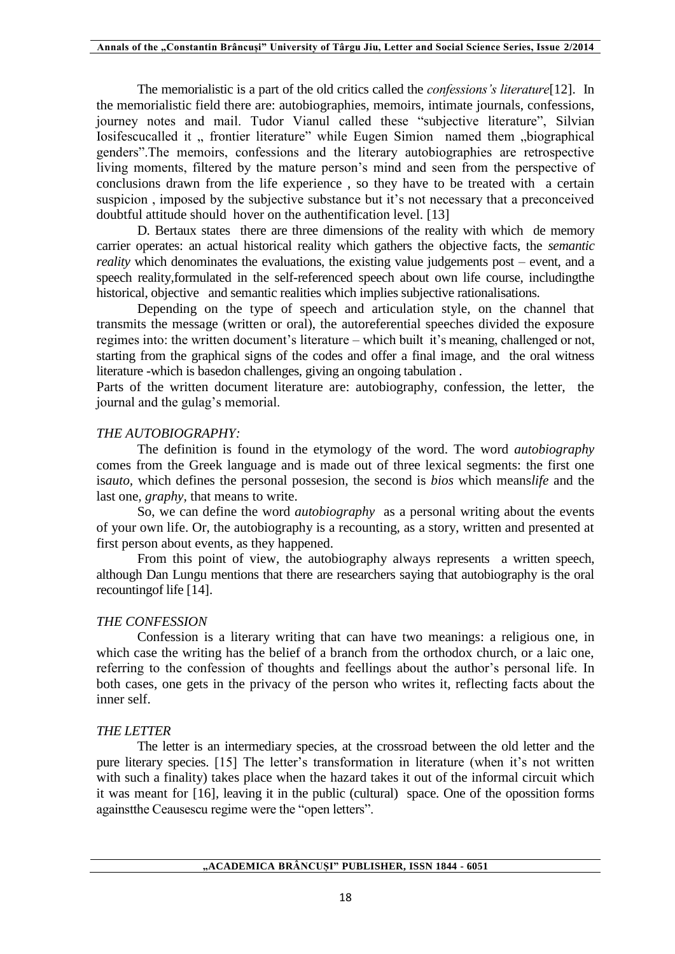The memorialistic is a part of the old critics called the *confessions's literature*[12]. In the memorialistic field there are: autobiographies, memoirs, intimate journals, confessions, journey notes and mail. Tudor Vianul called these "subjective literature", Silvian Iosifescucalled it " frontier literature" while Eugen Simion named them "biographical genders".The memoirs, confessions and the literary autobiographies are retrospective living moments, filtered by the mature person's mind and seen from the perspective of conclusions drawn from the life experience , so they have to be treated with a certain suspicion , imposed by the subjective substance but it's not necessary that a preconceived doubtful attitude should hover on the authentification level. [13]

D. Bertaux states there are three dimensions of the reality with which de memory carrier operates: an actual historical reality which gathers the objective facts, the *semantic reality* which denominates the evaluations, the existing value judgements post – event, and a speech reality,formulated in the self-referenced speech about own life course, includingthe historical, objective and semantic realities which implies subjective rationalisations.

Depending on the type of speech and articulation style, on the channel that transmits the message (written or oral), the autoreferential speeches divided the exposure regimes into: the written document's literature – which built it's meaning, challenged or not, starting from the graphical signs of the codes and offer a final image, and the oral witness literature -which is basedon challenges, giving an ongoing tabulation .

Parts of the written document literature are: autobiography, confession, the letter, the journal and the gulag's memorial.

## *THE AUTOBIOGRAPHY:*

The definition is found in the etymology of the word. The word *autobiography*  comes from the Greek language and is made out of three lexical segments: the first one is*auto,* which defines the personal possesion, the second is *bios* which means*life* and the last one*, graphy,* that means to write.

So, we can define the word *autobiography* as a personal writing about the events of your own life. Or, the autobiography is a recounting, as a story, written and presented at first person about events, as they happened.

From this point of view, the autobiography always represents a written speech, although Dan Lungu mentions that there are researchers saying that autobiography is the oral recountingof life [14].

## *THE CONFESSION*

Confession is a literary writing that can have two meanings: a religious one, in which case the writing has the belief of a branch from the orthodox church, or a laic one, referring to the confession of thoughts and feellings about the author's personal life. In both cases, one gets in the privacy of the person who writes it, reflecting facts about the inner self.

# *THE LETTER*

The letter is an intermediary species, at the crossroad between the old letter and the pure literary species. [15] The letter's transformation in literature (when it's not written with such a finality) takes place when the hazard takes it out of the informal circuit which it was meant for [16], leaving it in the public (cultural) space. One of the opossition forms againstthe Ceausescu regime were the "open letters".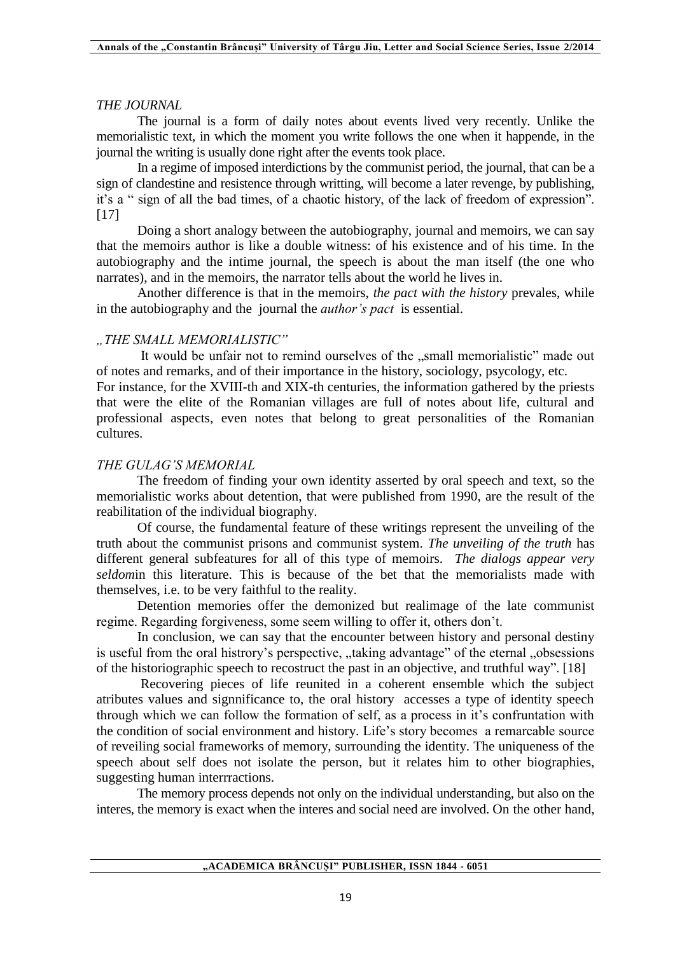#### *THE JOURNAL*

The journal is a form of daily notes about events lived very recently. Unlike the memorialistic text, in which the moment you write follows the one when it happende, in the journal the writing is usually done right after the events took place.

In a regime of imposed interdictions by the communist period, the journal, that can be a sign of clandestine and resistence through writting, will become a later revenge, by publishing, it's a " sign of all the bad times, of a chaotic history, of the lack of freedom of expression". [17]

Doing a short analogy between the autobiography, journal and memoirs, we can say that the memoirs author is like a double witness: of his existence and of his time. In the autobiography and the intime journal, the speech is about the man itself (the one who narrates), and in the memoirs, the narrator tells about the world he lives in.

Another difference is that in the memoirs, *the pact with the history* prevales, while in the autobiography and the journal the *author's pact* is essential.

## *"THE SMALL MEMORIALISTIC"*

It would be unfair not to remind ourselves of the ..small memorialistic" made out of notes and remarks, and of their importance in the history, sociology, psycology, etc. For instance, for the XVIII-th and XIX-th centuries, the information gathered by the priests that were the elite of the Romanian villages are full of notes about life, cultural and professional aspects, even notes that belong to great personalities of the Romanian cultures.

## *THE GULAG'S MEMORIAL*

The freedom of finding your own identity asserted by oral speech and text, so the memorialistic works about detention, that were published from 1990, are the result of the reabilitation of the individual biography.

Of course, the fundamental feature of these writings represent the unveiling of the truth about the communist prisons and communist system. *The unveiling of the truth* has different general subfeatures for all of this type of memoirs. *The dialogs appear very seldom*in this literature. This is because of the bet that the memorialists made with themselves, i.e. to be very faithful to the reality.

Detention memories offer the demonized but realimage of the late communist regime. Regarding forgiveness, some seem willing to offer it, others don't.

In conclusion, we can say that the encounter between history and personal destiny is useful from the oral histrory's perspective, "taking advantage" of the eternal "obsessions" of the historiographic speech to recostruct the past in an objective, and truthful way". [18]

 Recovering pieces of life reunited in a coherent ensemble which the subject atributes values and signnificance to, the oral history accesses a type of identity speech through which we can follow the formation of self, as a process in it's confruntation with the condition of social environment and history. Life's story becomes a remarcable source of reveiling social frameworks of memory, surrounding the identity. The uniqueness of the speech about self does not isolate the person, but it relates him to other biographies, suggesting human interrractions.

The memory process depends not only on the individual understanding, but also on the interes, the memory is exact when the interes and social need are involved. On the other hand,

**"ACADEMICA BRÂNCUȘI" PUBLISHER, ISSN 1844 - 6051**